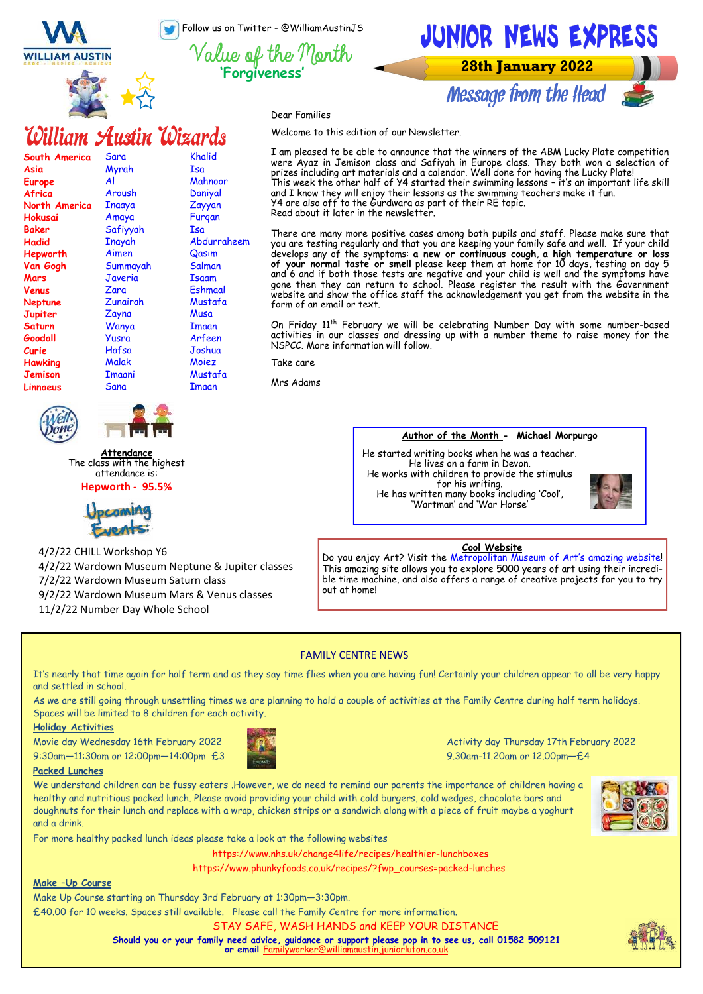Follow us on Twitter - @WilliamAustinJS

**'Forgiveness'**

Khalid Isa Mahnoor Daniyal Zayyan Furqan Isa

Abdurraheem Qasim Salman Isaam Eshmaal Mustafa **Musa** Imaan Arfeen Joshua Moiez Mustafa Imaan

**WILLIAM AUSTIN** 

**South America**

**Asia Europe Africa North America Hokusai Baker Hadid Hepworth Van Gogh** 



Sara Myrah Al Aroush Inaaya Amaya Safiyyah Inayah Aimen Summayah

William Austin Wizards



**28th January 2022** 

Message from the Head

Dear Families

Welcome to this edition of our Newsletter.

I am pleased to be able to announce that the winners of the ABM Lucky Plate competition were Ayaz in Jemison class and Safiyah in Europe class. They both won a selection of prizes including art materials and a calendar. Well done for having the Lucky Plate! This week the other half of Y4 started their swimming lessons – it's an important life skill and I know they will enjoy their lessons as the swimming teachers make it fun. Y4 are also off to the Gurdwara as part of their RE topic. Read about it later in the newsletter.

There are many more positive cases among both pupils and staff. Please make sure that you are testing regularly and that you are keeping your family safe and well. If your child develops any of the symptoms: **a new or continuous cough**, **a high temperature or loss of your normal taste or smell** please keep them at home for 10 days, testing on day 5 and 6 and if both those tests are negative and your child is well and the symptoms have gone then they can return to school. Please register the result with the Government website and show the office staff the acknowledgement you get from the website in the form of an email or text.

On Friday 11<sup>th</sup> February we will be celebrating Number Day with some number-based activities in our classes and dressing up with a number theme to raise money for the NSPCC. More information will follow.

Take care

Mrs Adams

#### **Author of the Month - Michael Morpurgo**

He started writing books when he was a teacher. He lives on a farm in Devon. He works with children to provide the stimulus for his writing. He has written many books including 'Cool', 'Wartman' and 'War Horse'



Do you enjoy Art? Visit the [Metropolitan Museum of Art](https://www.metmuseum.org/art/online-features/metkids/)'s amazing website! This amazing site allows you to explore 5000 years of art using their incredible time machine, and also offers a range of creative projects for you to try out at home!

# FAMILY CENTRE NEWS

It's nearly that time again for half term and as they say time flies when you are having fun! Certainly your children appear to all be very happy and settled in school.

As we are still going through unsettling times we are planning to hold a couple of activities at the Family Centre during half term holidays. Spaces will be limited to 8 children for each activity.

#### **Holiday Activities**

9:30am—11:30am or 12:00pm—14:00pm £3 9.30am-11.20am or 12.00pm—£4



For more healthy packed lunch ideas please take a look at the following websites

Make Up Course starting on Thursday 3rd February at 1:30pm—3:30pm.



Movie day Wednesday 16th February 2022 **Activity day Thursday 17th February 2022** 



**Make –Up Course**

We understand children can be fussy eaters .However, we do need to remind our parents the importance of children having a healthy and nutritious packed lunch. Please avoid providing your child with cold burgers, cold wedges, chocolate bars and doughnuts for their lunch and replace with a wrap, chicken strips or a sandwich along with a piece of fruit maybe a yoghurt and a drink.



STAY SAFE, WASH HANDS and KEEP YOUR DISTANCE £40.00 for 10 weeks. Spaces still available. Please call the Family Centre for more information.

**Should you or your family need advice, guidance or support please pop in to see us, call 01582 509121** 

https://www.nhs.uk/change4life/recipes/healthier-lunchboxes https://www.phunkyfoods.co.uk/recipes/?fwp\_courses=packed-lunches

**or email Familyworker** 





**Jemison Linnaeus** 



Imaani Sana

**Attendance** The class with the highest attendance is:

**Hepworth - 95.5%**



4/2/22 CHILL Workshop Y6 4/2/22 Wardown Museum Neptune & Jupiter classes 7/2/22 Wardown Museum Saturn class 9/2/22 Wardown Museum Mars & Venus classes

11/2/22 Number Day Whole School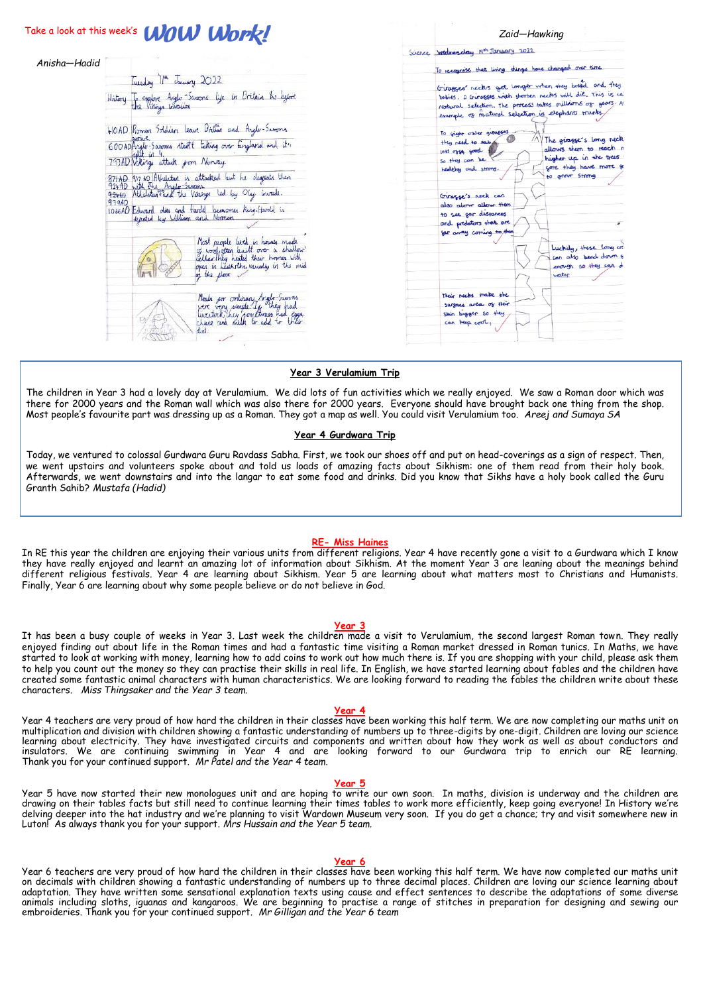|              | Take a look at this week's <b>WOW Work!</b>                                                                                                   | Zaid-Hawking                                                 |
|--------------|-----------------------------------------------------------------------------------------------------------------------------------------------|--------------------------------------------------------------|
|              |                                                                                                                                               | Science wednesday 19th January 2022                          |
| Anisha—Hadid |                                                                                                                                               | To recognise that living things have changed over time       |
|              | Tuesday 11th January 2022                                                                                                                     | Giorges' necks get longer when they bread and they           |
|              | History To explore Anglo-Samons Life in Britain the lague                                                                                     | babies. D Giragges with shorten necks will die. This is call |
|              |                                                                                                                                               | Natural selection. The process takes millions of years. A    |
|              |                                                                                                                                               | example of matural selection is elephants trunks.            |
|              |                                                                                                                                               |                                                              |
|              | 410AD Roman Soldier leave British and Anglo-Savons                                                                                            | To sight other genesses                                      |
|              |                                                                                                                                               | The giragger's long neck<br>they need to ear                 |
|              | 600 AD Anglo-Saxons start taking over England and it's                                                                                        | allows them to reach a<br>lots of say good                   |
|              | 793AD Willings attack from Norway.                                                                                                            | higher up in the trees<br>So they can be                     |
|              |                                                                                                                                               | gore they have more go<br>healthy and strong.                |
|              | 87/AD 917 AO IAU-shitan is attacked but he degrate them<br>924.AD with The Anglo-Samma<br>934.AD Athelatan and the Vikingo led by Oly Gurade. | to grow strong                                               |
|              |                                                                                                                                               |                                                              |
|              |                                                                                                                                               | Giragge's neck can                                           |
|              | 93940                                                                                                                                         | also atom allow them                                         |
|              | 1066AD Edward dies and Hardd becames king Hardd in                                                                                            | to see for distances                                         |
|              |                                                                                                                                               | and predators that are                                       |
|              |                                                                                                                                               | for away coming to them                                      |
|              |                                                                                                                                               |                                                              |
|              | Most people lived is houses made<br>of wood, often kuilt over a shallow                                                                       | Luckily, these long on                                       |
|              | cellar They heated their homes with                                                                                                           | can also bend down &                                         |
|              | open in Leathsthe, usually in the mid                                                                                                         | erough so they can d                                         |
|              | of the floor.                                                                                                                                 | water.                                                       |
|              |                                                                                                                                               | Their necks make the                                         |
|              | Meals for ordinary Anglo-Savons                                                                                                               | surface area of their                                        |
|              | were very simple If they had<br>liveatork, they complimes had egge,                                                                           | skin bigger so they                                          |
|              |                                                                                                                                               | can beep cool,                                               |
|              |                                                                                                                                               |                                                              |

# **Year 3 Verulamium Trip**

The children in Year 3 had a lovely day at Verulamium. We did lots of fun activities which we really enjoyed. We saw a Roman door which was there for 2000 years and the Roman wall which was also there for 2000 years. Everyone should have brought back one thing from the shop. Most people's favourite part was dressing up as a Roman. They got a map as well. You could visit Verulamium too. *Areej and Sumaya SA*

# **Year 4 Gurdwara Trip**

Today, we ventured to colossal Gurdwara Guru Ravdass Sabha. First, we took our shoes off and put on head-coverings as a sign of respect. Then, we went upstairs and volunteers spoke about and told us loads of amazing facts about Sikhism: one of them read from their holy book. Afterwards, we went downstairs and into the langar to eat some food and drinks. Did you know that Sikhs have a holy book called the Guru Granth Sahib? *Mustafa (Hadid)*

### **RE- Miss Haines**

In RE this year the children are enjoying their various units from different religions. Year 4 have recently gone a visit to a Gurdwara which I know they have really enjoyed and learnt an amazing lot of information about Sikhism. At the moment Year 3 are leaning about the meanings behind different religious festivals. Year 4 are learning about Sikhism. Year 5 are learning about what matters most to Christians and Humanists. Finally, Year 6 are learning about why some people believe or do not believe in God.

#### **Year 3**

It has been a busy couple of weeks in Year 3. Last week the children made a visit to Verulamium, the second largest Roman town. They really enjoyed finding out about life in the Roman times and had a fantastic time visiting a Roman market dressed in Roman tunics. In Maths, we have started to look at working with money, learning how to add coins to work out how much there is. If you are shopping with your child, please ask them to help you count out the money so they can practise their skills in real life. In English, we have started learning about fables and the children have created some fantastic animal characters with human characteristics. We are looking forward to reading the fables the children write about these characters. *Miss Thingsaker and the Year 3 team.*

#### **Year 4**

Year 4 teachers are very proud of how hard the children in their classes have been working this half term. We are now completing our maths unit on multiplication and division with children showing a fantastic understanding of numbers up to three-digits by one-digit. Children are loving our science learning about electricity. They have investigated circuits and components and written about how they work as well as about conductors and insulators. We are continuing swimming in Year 4 and are looking forward to our Gurdwara trip to enrich our RE learning. Thank you for your continued support. *Mr Patel and the Year 4 team.*

#### **Year 5**

Year 5 have now started their new monologues unit and are hoping to write our own soon. In maths, division is underway and the children are drawing on their tables facts but still need to continue learning their times tables to work more efficiently, keep going everyone! In History we're delving deeper into the hat industry and we're planning to visit Wardown Museum very soon. If you do get a chance; try and visit somewhere new in Luton! As always thank you for your support. *Mrs Hussain and the Year 5 team.*

#### **Year 6**

Year 6 teachers are very proud of how hard the children in their classes have been working this half term. We have now completed our maths unit on decimals with children showing a fantastic understanding of numbers up to three decimal places. Children are loving our science learning about adaptation. They have written some sensational explanation texts using cause and effect sentences to describe the adaptations of some diverse animals including sloths, iguanas and kangaroos. We are beginning to practise a range of stitches in preparation for designing and sewing our embroideries. Thank you for your continued support. *Mr Gilligan and the Year 6 team*